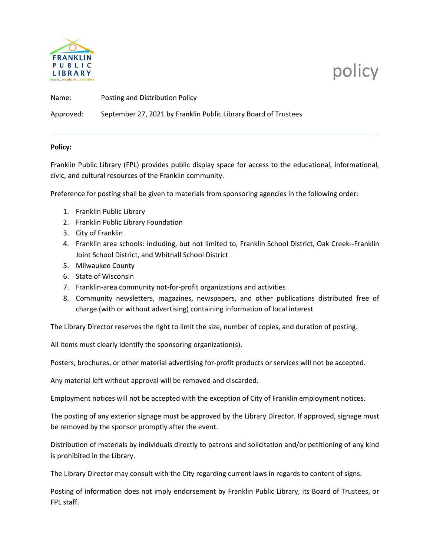

## policy

Name: Posting and Distribution Policy Approved: September 27, 2021 by Franklin Public Library Board of Trustees

## **Policy:**

Franklin Public Library (FPL) provides public display space for access to the educational, informational, civic, and cultural resources of the Franklin community.

Preference for posting shall be given to materials from sponsoring agencies in the following order:

- 1. Franklin Public Library
- 2. Franklin Public Library Foundation
- 3. City of Franklin
- 4. Franklin area schools: including, but not limited to, Franklin School District, Oak Creek--Franklin Joint School District, and Whitnall School District
- 5. Milwaukee County
- 6. State of Wisconsin
- 7. Franklin-area community not-for-profit organizations and activities
- 8. Community newsletters, magazines, newspapers, and other publications distributed free of charge (with or without advertising) containing information of local interest

The Library Director reserves the right to limit the size, number of copies, and duration of posting.

All items must clearly identify the sponsoring organization(s).

Posters, brochures, or other material advertising for-profit products or services will not be accepted.

Any material left without approval will be removed and discarded.

Employment notices will not be accepted with the exception of City of Franklin employment notices.

The posting of any exterior signage must be approved by the Library Director. If approved, signage must be removed by the sponsor promptly after the event.

Distribution of materials by individuals directly to patrons and solicitation and/or petitioning of any kind is prohibited in the Library.

The Library Director may consult with the City regarding current laws in regards to content of signs.

Posting of information does not imply endorsement by Franklin Public Library, its Board of Trustees, or FPL staff.